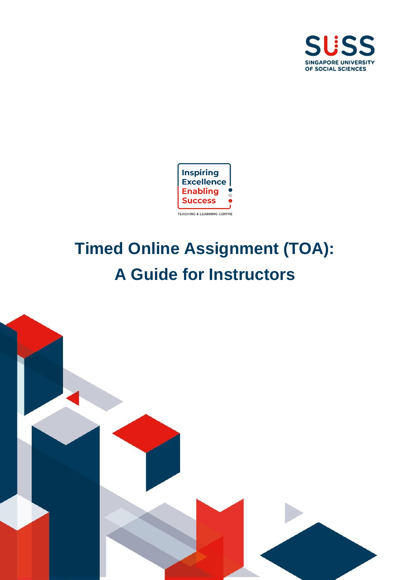



# **Timed Online Assignment (TOA): A Guide for Instructors**

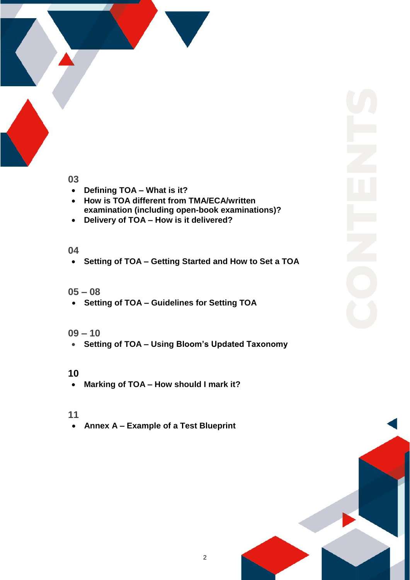

# **03**

- **Defining TOA – What is it?**
- **How is TOA different from TMA/ECA/written examination (including open-book examinations)?**
- **Delivery of TOA – How is it delivered?**

# **04**

**Setting of TOA – Getting Started and How to Set a TOA**

# **05 – 08**

**Setting of TOA – Guidelines for Setting TOA**

# **09 – 10**

**Setting of TOA – Using Bloom's Updated Taxonomy**

# **10**

**Marking of TOA – How should I mark it?**

# **11**

**Annex A – Example of a Test Blueprint**

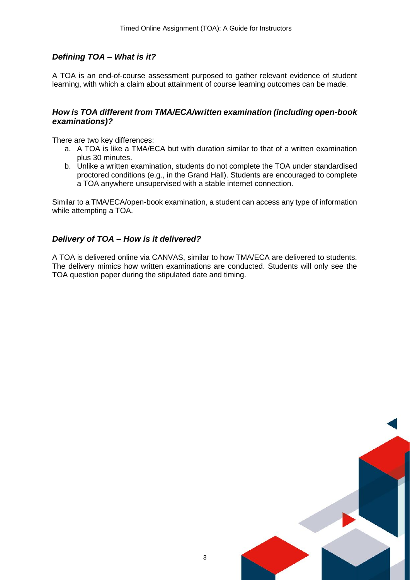## *Defining TOA – What is it?*

A TOA is an end-of-course assessment purposed to gather relevant evidence of student learning, with which a claim about attainment of course learning outcomes can be made.

#### *How is TOA different from TMA/ECA/written examination (including open-book examinations)?*

There are two key differences:

- a. A TOA is like a TMA/ECA but with duration similar to that of a written examination plus 30 minutes.
- b. Unlike a written examination, students do not complete the TOA under standardised proctored conditions (e.g., in the Grand Hall). Students are encouraged to complete a TOA anywhere unsupervised with a stable internet connection.

Similar to a TMA/ECA/open-book examination, a student can access any type of information while attempting a TOA.

#### *Delivery of TOA – How is it delivered?*

A TOA is delivered online via CANVAS, similar to how TMA/ECA are delivered to students. The delivery mimics how written examinations are conducted. Students will only see the TOA question paper during the stipulated date and timing.

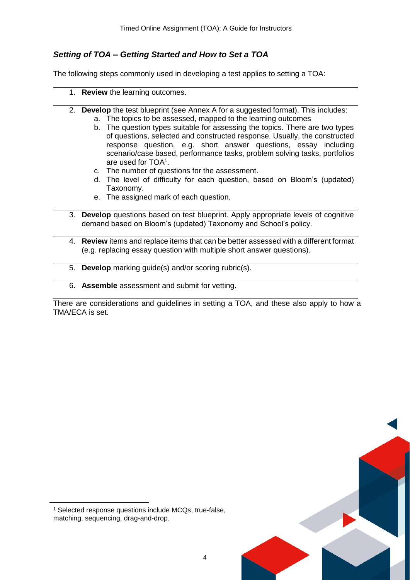## *Setting of TOA – Getting Started and How to Set a TOA*

The following steps commonly used in developing a test applies to setting a TOA:

- 1. **Review** the learning outcomes.
- 2. **Develop** the test blueprint (see Annex A for a suggested format). This includes: a. The topics to be assessed, mapped to the learning outcomes
	- b. The question types suitable for assessing the topics. There are two types of questions, selected and constructed response. Usually, the constructed response question, e.g. short answer questions, essay including scenario/case based, performance tasks, problem solving tasks, portfolios are used for TOA<sup>1</sup> .
	- c. The number of questions for the assessment.
	- d. The level of difficulty for each question, based on Bloom's (updated) Taxonomy.
	- e. The assigned mark of each question.
- 3. **Develop** questions based on test blueprint. Apply appropriate levels of cognitive demand based on Bloom's (updated) Taxonomy and School's policy.
- 4. **Review** items and replace items that can be better assessed with a different format (e.g. replacing essay question with multiple short answer questions).
- 5. **Develop** marking guide(s) and/or scoring rubric(s).
- 6. **Assemble** assessment and submit for vetting.

There are considerations and guidelines in setting a TOA, and these also apply to how a TMA/ECA is set.



**.** 

<sup>&</sup>lt;sup>1</sup> Selected response questions include MCQs, true-false, matching, sequencing, drag-and-drop.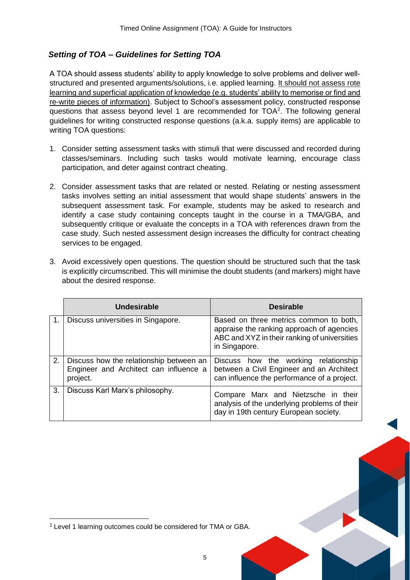# *Setting of TOA – Guidelines for Setting TOA*

A TOA should assess students' ability to apply knowledge to solve problems and deliver wellstructured and presented arguments/solutions, i.e. applied learning. It should not assess rote learning and superficial application of knowledge (e.g. students' ability to memorise or find and re-write pieces of information). Subject to School's assessment policy, constructed response questions that assess beyond level 1 are recommended for TOA<sup>2</sup>. The following general guidelines for writing constructed response questions (a.k.a. supply items) are applicable to writing TOA questions:

- 1. Consider setting assessment tasks with stimuli that were discussed and recorded during classes/seminars. Including such tasks would motivate learning, encourage class participation, and deter against contract cheating.
- 2. Consider assessment tasks that are related or nested. Relating or nesting assessment tasks involves setting an initial assessment that would shape students' answers in the subsequent assessment task. For example, students may be asked to research and identify a case study containing concepts taught in the course in a TMA/GBA, and subsequently critique or evaluate the concepts in a TOA with references drawn from the case study. Such nested assessment design increases the difficulty for contract cheating services to be engaged.
- 3. Avoid excessively open questions. The question should be structured such that the task is explicitly circumscribed. This will minimise the doubt students (and markers) might have about the desired response.

|    | Undesirable                                                                                   | <b>Desirable</b>                                                                                                                                     |
|----|-----------------------------------------------------------------------------------------------|------------------------------------------------------------------------------------------------------------------------------------------------------|
|    | Discuss universities in Singapore.                                                            | Based on three metrics common to both,<br>appraise the ranking approach of agencies<br>ABC and XYZ in their ranking of universities<br>in Singapore. |
| 2. | Discuss how the relationship between an<br>Engineer and Architect can influence a<br>project. | Discuss how the working<br>relationship<br>between a Civil Engineer and an Architect<br>can influence the performance of a project.                  |
| 3. | Discuss Karl Marx's philosophy.                                                               | Compare Marx and Nietzsche in their<br>analysis of the underlying problems of their<br>day in 19th century European society.                         |

**.** 

<sup>2</sup> Level 1 learning outcomes could be considered for TMA or GBA.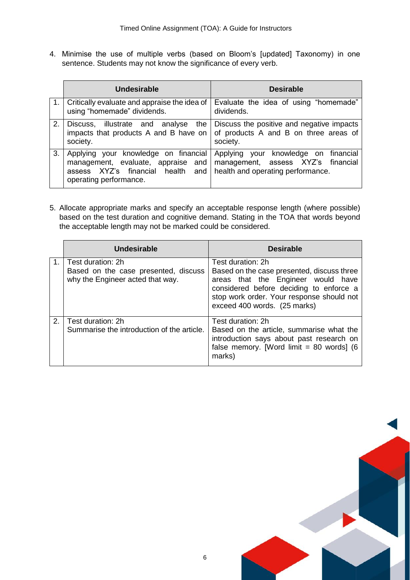4. Minimise the use of multiple verbs (based on Bloom's [updated] Taxonomy) in one sentence. Students may not know the significance of every verb.

|                | Undesirable                                                                                                                               | <b>Desirable</b>                                                                                                |  |  |  |
|----------------|-------------------------------------------------------------------------------------------------------------------------------------------|-----------------------------------------------------------------------------------------------------------------|--|--|--|
|                | Critically evaluate and appraise the idea of<br>using "homemade" dividends.                                                               | Evaluate the idea of using "homemade"<br>dividends.                                                             |  |  |  |
| 2 <sub>1</sub> | Discuss, illustrate and analyse the<br>impacts that products A and B have on<br>society.                                                  | Discuss the positive and negative impacts<br>of products A and B on three areas of<br>society.                  |  |  |  |
| 3.             | Applying your knowledge on financial<br>management, evaluate, appraise and<br>assess XYZ's financial health and<br>operating performance. | Applying your knowledge on financial<br>management, assess XYZ's financial<br>health and operating performance. |  |  |  |

5. Allocate appropriate marks and specify an acceptable response length (where possible) based on the test duration and cognitive demand. Stating in the TOA that words beyond the acceptable length may not be marked could be considered.

|    | Undesirable                                                                                   | <b>Desirable</b>                                                                                                                                                                                                              |  |  |  |
|----|-----------------------------------------------------------------------------------------------|-------------------------------------------------------------------------------------------------------------------------------------------------------------------------------------------------------------------------------|--|--|--|
|    | Test duration: 2h<br>Based on the case presented, discuss<br>why the Engineer acted that way. | Test duration: 2h<br>Based on the case presented, discuss three<br>areas that the Engineer would have<br>considered before deciding to enforce a<br>stop work order. Your response should not<br>exceed 400 words. (25 marks) |  |  |  |
| 2. | Test duration: 2h<br>Summarise the introduction of the article.                               | Test duration: 2h<br>Based on the article, summarise what the<br>introduction says about past research on<br>false memory. [Word limit = $80$ words] (6<br>marks)                                                             |  |  |  |

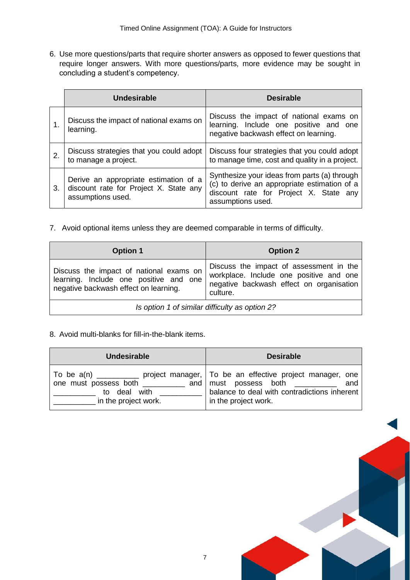6. Use more questions/parts that require shorter answers as opposed to fewer questions that require longer answers. With more questions/parts, more evidence may be sought in concluding a student's competency.

|    | Undesirable                                                                                          | <b>Desirable</b>                                                                                                                                            |  |  |  |  |
|----|------------------------------------------------------------------------------------------------------|-------------------------------------------------------------------------------------------------------------------------------------------------------------|--|--|--|--|
|    | Discuss the impact of national exams on<br>learning.                                                 | Discuss the impact of national exams on<br>learning. Include one positive and one<br>negative backwash effect on learning.                                  |  |  |  |  |
| 2. | Discuss strategies that you could adopt<br>to manage a project.                                      | Discuss four strategies that you could adopt<br>to manage time, cost and quality in a project.                                                              |  |  |  |  |
| 3. | Derive an appropriate estimation of a<br>discount rate for Project X. State any<br>assumptions used. | Synthesize your ideas from parts (a) through<br>(c) to derive an appropriate estimation of a<br>discount rate for Project X. State any<br>assumptions used. |  |  |  |  |

7. Avoid optional items unless they are deemed comparable in terms of difficulty.

| <b>Option 1</b>                                                                                                            | <b>Option 2</b>                                                                                                                            |  |  |
|----------------------------------------------------------------------------------------------------------------------------|--------------------------------------------------------------------------------------------------------------------------------------------|--|--|
| Discuss the impact of national exams on<br>learning. Include one positive and one<br>negative backwash effect on learning. | Discuss the impact of assessment in the<br>workplace. Include one positive and one<br>negative backwash effect on organisation<br>culture. |  |  |
| Is option 1 of similar difficulty as option 2?                                                                             |                                                                                                                                            |  |  |

#### 8. Avoid multi-blanks for fill-in-the-blank items.

| <b>Undesirable</b>                                                       | <b>Desirable</b>                                                                                                                                                                                  |  |  |  |
|--------------------------------------------------------------------------|---------------------------------------------------------------------------------------------------------------------------------------------------------------------------------------------------|--|--|--|
| one must possess both __________<br>to deal with<br>in the project work. | To be a(n) ____________ project manager,   To be an effective project manager, one<br>and must possess both ______<br>and<br>balance to deal with contradictions inherent<br>in the project work. |  |  |  |

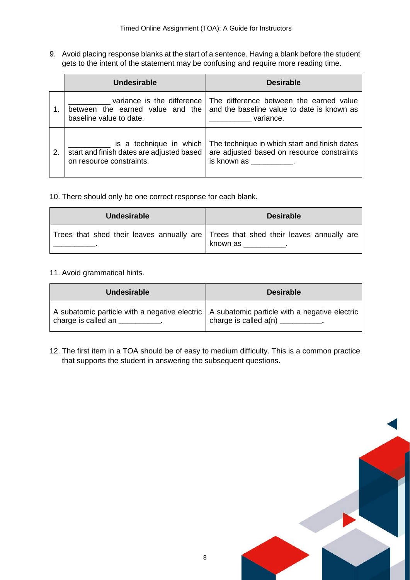9. Avoid placing response blanks at the start of a sentence. Having a blank before the student gets to the intent of the statement may be confusing and require more reading time.

|             | Undesirable                                                                                      | <b>Desirable</b>                                                                                                                                                                                                                                                                                                              |  |  |
|-------------|--------------------------------------------------------------------------------------------------|-------------------------------------------------------------------------------------------------------------------------------------------------------------------------------------------------------------------------------------------------------------------------------------------------------------------------------|--|--|
| $\mathbf 1$ | variance is the difference<br>between the earned value and the<br>baseline value to date.        | The difference between the earned value<br>and the baseline value to date is known as<br>variance.                                                                                                                                                                                                                            |  |  |
| 2.          | is a technique in which<br>start and finish dates are adjusted based<br>on resource constraints. | The technique in which start and finish dates<br>are adjusted based on resource constraints<br>is known as the set of the set of the set of the set of the set of the set of the set of the set of the set of the set of the set of the set of the set of the set of the set of the set of the set of the set of the set of t |  |  |

10. There should only be one correct response for each blank.

| <b>Undesirable</b>                                                                  | <b>Desirable</b> |  |  |  |  |
|-------------------------------------------------------------------------------------|------------------|--|--|--|--|
| Trees that shed their leaves annually are Trees that shed their leaves annually are | known as         |  |  |  |  |

#### 11. Avoid grammatical hints.

| <b>Undesirable</b>              | <b>Desirable</b>                                                                              |  |  |
|---------------------------------|-----------------------------------------------------------------------------------------------|--|--|
| charge is called an             | A subatomic particle with a negative electric   A subatomic particle with a negative electric |  |  |
| the contract of the contract of | charge is called $a(n)$ ___________.                                                          |  |  |

12. The first item in a TOA should be of easy to medium difficulty. This is a common practice that supports the student in answering the subsequent questions.

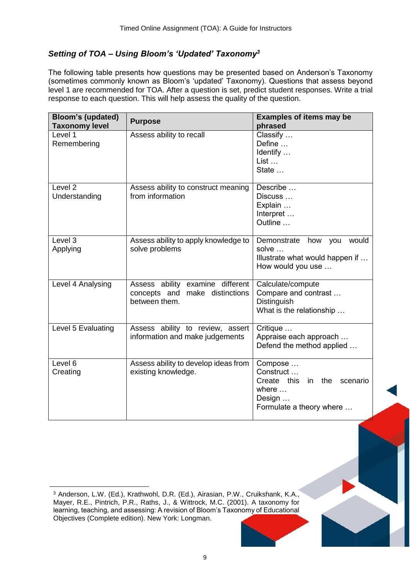## *Setting of TOA – Using Bloom's 'Updated' Taxonomy<sup>3</sup>*

The following table presents how questions may be presented based on Anderson's Taxonomy (sometimes commonly known as Bloom's 'updated' Taxonomy). Questions that assess beyond level 1 are recommended for TOA. After a question is set, predict student responses. Write a trial response to each question. This will help assess the quality of the question.

| <b>Bloom's (updated)</b><br><b>Taxonomy level</b> | <b>Purpose</b>                                                                         | <b>Examples of items may be</b><br>phrased                                                                           |
|---------------------------------------------------|----------------------------------------------------------------------------------------|----------------------------------------------------------------------------------------------------------------------|
| Level 1<br>Remembering                            | Assess ability to recall                                                               | Classify<br>Define<br>Identify<br>$List$<br>State                                                                    |
| Level <sub>2</sub><br>Understanding               | Assess ability to construct meaning<br>from information                                | Describe<br>Discuss<br>Explain<br>Interpret<br>Outline                                                               |
| Level 3<br>Applying                               | Assess ability to apply knowledge to<br>solve problems                                 | Demonstrate<br>how<br>would<br>you<br>solve<br>Illustrate what would happen if<br>How would you use                  |
| Level 4 Analysing                                 | Assess ability examine different<br>make distinctions<br>concepts and<br>between them. | Calculate/compute<br>Compare and contrast<br>Distinguish<br>What is the relationship                                 |
| Level 5 Evaluating                                | Assess ability to review, assert<br>information and make judgements                    | Critique<br>Appraise each approach<br>Defend the method applied                                                      |
| Level 6<br>Creating                               | Assess ability to develop ideas from<br>existing knowledge.                            | Compose<br>Construct<br>Create this<br>the<br>scenario<br>in.<br>where $\dots$<br>Design<br>Formulate a theory where |

 $\overline{\phantom{a}}$ 



<sup>3</sup> Anderson, L.W. (Ed.), Krathwohl, D.R. (Ed.), Airasian, P.W., Cruikshank, K.A., Mayer, R.E., Pintrich, P.R., Raths, J., & Wittrock, M.C. (2001). A taxonomy for learning, teaching, and assessing: A revision of Bloom's Taxonomy of Educational Objectives (Complete edition). New York: Longman.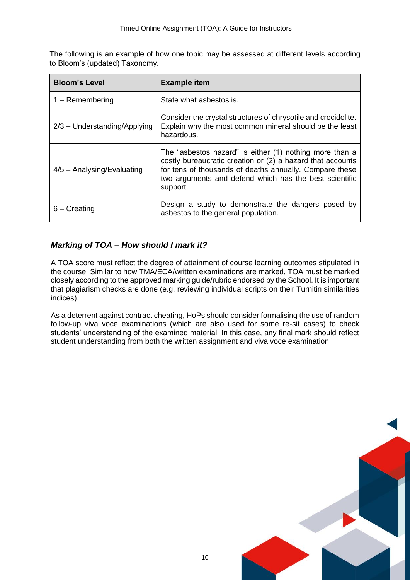The following is an example of how one topic may be assessed at different levels according to Bloom's (updated) Taxonomy.

| <b>Bloom's Level</b>           | <b>Example item</b>                                                                                                                                                                                                                                    |  |  |
|--------------------------------|--------------------------------------------------------------------------------------------------------------------------------------------------------------------------------------------------------------------------------------------------------|--|--|
| $1 -$ Remembering              | State what asbestos is.                                                                                                                                                                                                                                |  |  |
| $2/3$ – Understanding/Applying | Consider the crystal structures of chrysotile and crocidolite.<br>Explain why the most common mineral should be the least<br>hazardous.                                                                                                                |  |  |
| $4/5$ – Analysing/Evaluating   | The "asbestos hazard" is either (1) nothing more than a<br>costly bureaucratic creation or (2) a hazard that accounts<br>for tens of thousands of deaths annually. Compare these<br>two arguments and defend which has the best scientific<br>support. |  |  |
| $6 -$ Creating                 | Design a study to demonstrate the dangers posed by<br>asbestos to the general population.                                                                                                                                                              |  |  |

## *Marking of TOA – How should I mark it?*

A TOA score must reflect the degree of attainment of course learning outcomes stipulated in the course. Similar to how TMA/ECA/written examinations are marked, TOA must be marked closely according to the approved marking guide/rubric endorsed by the School. It is important that plagiarism checks are done (e.g. reviewing individual scripts on their Turnitin similarities indices).

As a deterrent against contract cheating, HoPs should consider formalising the use of random follow-up viva voce examinations (which are also used for some re-sit cases) to check students' understanding of the examined material. In this case, any final mark should reflect student understanding from both the written assignment and viva voce examination.

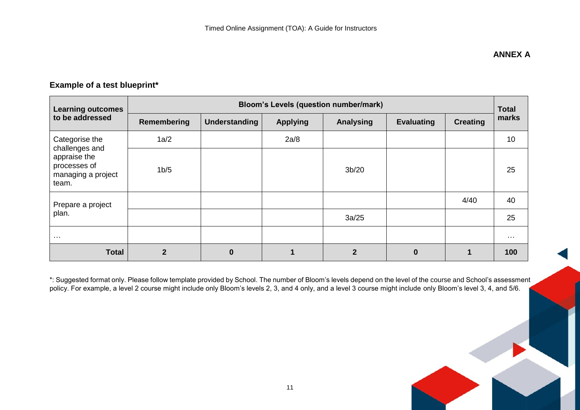# **Example of a test blueprint\***

| <b>Learning outcomes</b>                                                      | <b>Bloom's Levels (question number/mark)</b> |               |                 |              |                   | <b>Total</b>    |                      |
|-------------------------------------------------------------------------------|----------------------------------------------|---------------|-----------------|--------------|-------------------|-----------------|----------------------|
| to be addressed                                                               | <b>Remembering</b>                           | Understanding | <b>Applying</b> | Analysing    | <b>Evaluating</b> | <b>Creating</b> | marks                |
| Categorise the                                                                | 1a/2                                         |               | 2a/8            |              |                   |                 | 10                   |
| challenges and<br>appraise the<br>processes of<br>managing a project<br>team. | 1 <sub>b</sub> /5                            |               |                 | 3b/20        |                   |                 | 25                   |
| Prepare a project                                                             |                                              |               |                 |              |                   | 4/40            | 40                   |
| plan.                                                                         |                                              |               |                 | 3a/25        |                   |                 | 25                   |
| $\sim$ $\sim$ $\sim$                                                          |                                              |               |                 |              |                   |                 | $\sim$ $\sim$ $\sim$ |
| <b>Total</b>                                                                  | $\mathbf{2}$                                 | 0             |                 | $\mathbf{c}$ | $\Omega$          |                 | 100                  |

\*: Suggested format only. Please follow template provided by School. The number of Bloom's levels depend on the level of the course and School's assessment policy. For example, a level 2 course might include only Bloom's levels 2, 3, and 4 only, and a level 3 course might include only Bloom's level 3, 4, and 5/6.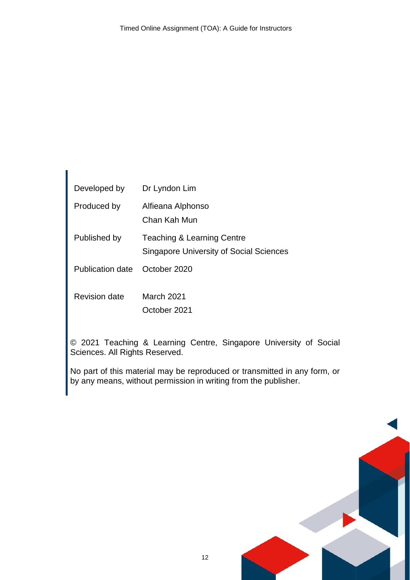| Developed by         | Dr Lyndon Lim                                                                           |
|----------------------|-----------------------------------------------------------------------------------------|
| Produced by          | Alfieana Alphonso<br>Chan Kah Mun                                                       |
| Published by         | <b>Teaching &amp; Learning Centre</b><br><b>Singapore University of Social Sciences</b> |
| Publication date     | October 2020                                                                            |
| <b>Revision date</b> | March 2021<br>October 2021                                                              |

© 2021 Teaching & Learning Centre, Singapore University of Social Sciences. All Rights Reserved.

No part of this material may be reproduced or transmitted in any form, or by any means, without permission in writing from the publisher.